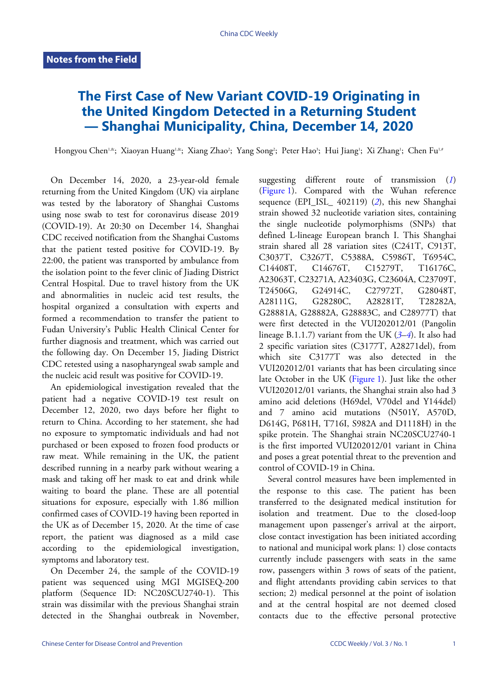## **The First Case of New Variant COVID-19 Originating in the United Kingdom Detected in a Returning Student — Shanghai Municipality, China, December 14, 2020**

Hongyou Chen'<sup>,&</sup>; Xiaoyan Huang'<sup>,&</sup>; Xiang Zhao<sup>2</sup>; Yang Song<sup>2</sup>; Peter Hao<sup>3</sup>; Hui Jiang'; Xi Zhang'; Chen Fu<sup>1,4</sup>

On December 14, 2020, a 23-year-old female returning from the United Kingdom (UK) via airplane was tested by the laboratory of Shanghai Customs using nose swab to test for coronavirus disease 2019 (COVID-19). At 20:30 on December 14, Shanghai CDC received notification from the Shanghai Customs that the patient tested positive for COVID-19. By 22:00, the patient was transported by ambulance from the isolation point to the fever clinic of Jiading District Central Hospital. Due to travel history from the UK and abnormalities in nucleic acid test results, the hospital organized a consultation with experts and formed a recommendation to transfer the patient to Fudan University's Public Health Clinical Center for further diagnosis and treatment, which was carried out the following day. On December 15, Jiading District CDC retested using a nasopharyngeal swab sample and the nucleic acid result was positive for COVID-19.

An epidemiological investigation revealed that the patient had a negative COVID-19 test result on December 12, 2020, two days before her flight to return to China. According to her statement, she had no exposure to symptomatic individuals and had not purchased or been exposed to frozen food products or raw meat. While remaining in the UK, the patient described running in a nearby park without wearing a mask and taking off her mask to eat and drink while waiting to board the plane. These are all potential situations for exposure, especially with 1.86 million confirmed cases of COVID-19 having been reported in the UK as of December 15, 2020. At the time of case report, the patient was diagnosed as a mild case according to the epidemiological investigation, symptoms and laboratory test.

On December 24, the sample of the COVID-19 patient was sequenced using MGI MGISEQ-200 platform (Sequence ID: NC20SCU2740-1). This strain was dissimilar with the previous Shanghai strain detected in the Shanghai outbreak in November,

suggesting different route of transmission (*[1](#page-2-0)*) [\(Figure 1\)](#page-1-0). Compared with the Wuhan reference sequence (EPI\_ISL 40[2](#page-2-1)119) (*2*), this new Shanghai strain showed 32 nucleotide variation sites, containing the single nucleotide polymorphisms (SNPs) that defined L-lineage European branch I. This Shanghai strain shared all 28 variation sites (C241T, C913T, C3037T, C3267T, C5388A, C5986T, T6954C, C14408T, C14676T, C15279T, T16176C, A23063T, C23271A, A23403G, C23604A, C23709T, T24506G, G24914C, C27972T, G28048T, A28111G, G28280C, A28281T, T28282A, G28881A, G28882A, G28883C, and C28977T) that were first detected in the VUI202012/01 (Pangolin lineage B.1.1.7) variant from the UK (*[3](#page-2-2)*–*[4](#page-2-3)*). It also had 2 specific variation sites (C3177T, A28271del), from which site C3177T was also detected in the VUI202012/01 variants that has been circulating since late October in the UK [\(Figure 1\)](#page-1-0). Just like the other VUI202012/01 variants, the Shanghai strain also had 3 amino acid deletions (H69del, V70del and Y144del) and 7 amino acid mutations (N501Y, A570D, D614G, P681H, T716I, S982A and D1118H) in the spike protein. The Shanghai strain NC20SCU2740-1 is the first imported VUI202012/01 variant in China and poses a great potential threat to the prevention and control of COVID-19 in China.

Several control measures have been implemented in the response to this case. The patient has been transferred to the designated medical institution for isolation and treatment. Due to the closed-loop management upon passenger's arrival at the airport, close contact investigation has been initiated according to national and municipal work plans: 1) close contacts currently include passengers with seats in the same row, passengers within 3 rows of seats of the patient, and flight attendants providing cabin services to that section; 2) medical personnel at the point of isolation and at the central hospital are not deemed closed contacts due to the effective personal protective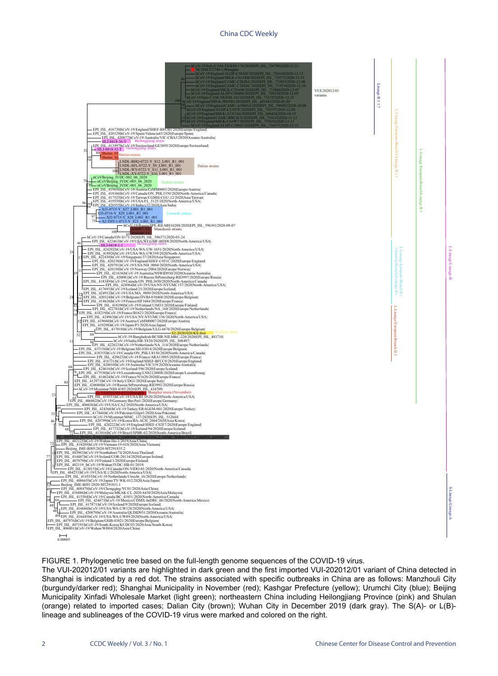## China CDC Weekly

<span id="page-1-0"></span>

FIGURE 1. Phylogenetic tree based on the full-length genome sequences of the COVID-19 virus.

The VUI-202012/01 variants are highlighted in dark green and the first imported VUI-202012/01 variant of China detected in Shanghai is indicated by a red dot. The strains associated with specific outbreaks in China are as follows: Manzhouli City (burgundy/darker red); Shanghai Municipality in November (red); Kashgar Prefecture (yellow); Urumchi City (blue); Beijing Municipality Xinfadi Wholesale Market (light green); northeastern China including Heilongjiang Province (pink) and Shulan (orange) related to imported cases; Dalian City (brown); Wuhan City in December 2019 (dark gray). The S(A)- or L(B) lineage and sublineages of the COVID-19 virus were marked and colored on the right.